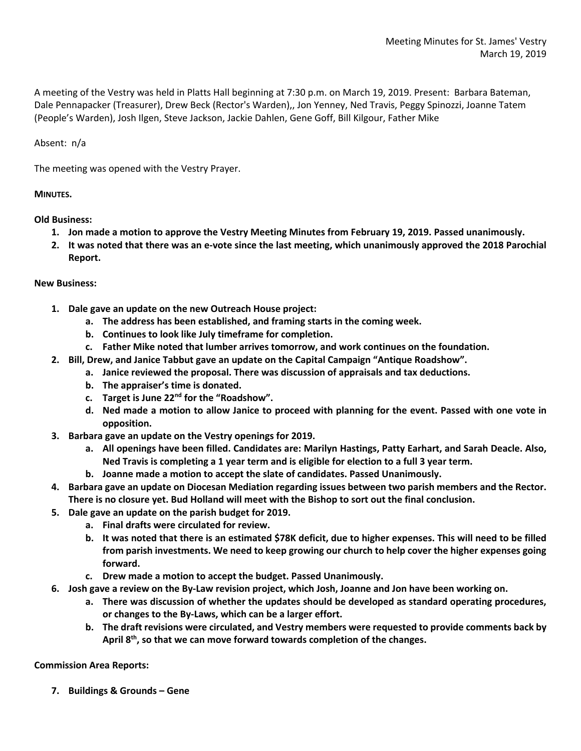A meeting of the Vestry was held in Platts Hall beginning at 7:30 p.m. on March 19, 2019. Present: Barbara Bateman, Dale Pennapacker (Treasurer), Drew Beck (Rector's Warden),, Jon Yenney, Ned Travis, Peggy Spinozzi, Joanne Tatem (People's Warden), Josh Ilgen, Steve Jackson, Jackie Dahlen, Gene Goff, Bill Kilgour, Father Mike

Absent: n/a

The meeting was opened with the Vestry Prayer.

## **MINUTES.**

**Old Business:**

- **1. Jon made a motion to approve the Vestry Meeting Minutes from February 19, 2019. Passed unanimously.**
- **2. It was noted that there was an e-vote since the last meeting, which unanimously approved the 2018 Parochial Report.**

## **New Business:**

- **1. Dale gave an update on the new Outreach House project:**
	- **a. The address has been established, and framing starts in the coming week.**
	- **b. Continues to look like July timeframe for completion.**
	- **c. Father Mike noted that lumber arrives tomorrow, and work continues on the foundation.**
- **2. Bill, Drew, and Janice Tabbut gave an update on the Capital Campaign "Antique Roadshow".**
	- **a. Janice reviewed the proposal. There was discussion of appraisals and tax deductions.**
	- **b. The appraiser's time is donated.**
	- **c. Target is June 22nd for the "Roadshow".**
	- **d. Ned made a motion to allow Janice to proceed with planning for the event. Passed with one vote in opposition.**
- **3. Barbara gave an update on the Vestry openings for 2019.**
	- **a. All openings have been filled. Candidates are: Marilyn Hastings, Patty Earhart, and Sarah Deacle. Also, Ned Travis is completing a 1 year term and is eligible for election to a full 3 year term.**
	- **b. Joanne made a motion to accept the slate of candidates. Passed Unanimously.**
- **4. Barbara gave an update on Diocesan Mediation regarding issues between two parish members and the Rector. There is no closure yet. Bud Holland will meet with the Bishop to sort out the final conclusion.**
- **5. Dale gave an update on the parish budget for 2019.**
	- **a. Final drafts were circulated for review.**
	- **b. It was noted that there is an estimated \$78K deficit, due to higher expenses. This will need to be filled from parish investments. We need to keep growing our church to help cover the higher expenses going forward.**
	- **c. Drew made a motion to accept the budget. Passed Unanimously.**
- **6. Josh gave a review on the By-Law revision project, which Josh, Joanne and Jon have been working on.**
	- **a. There was discussion of whether the updates should be developed as standard operating procedures, or changes to the By-Laws, which can be a larger effort.**
	- **b. The draft revisions were circulated, and Vestry members were requested to provide comments back by April 8th, so that we can move forward towards completion of the changes.**

## **Commission Area Reports:**

**7. Buildings & Grounds – Gene**